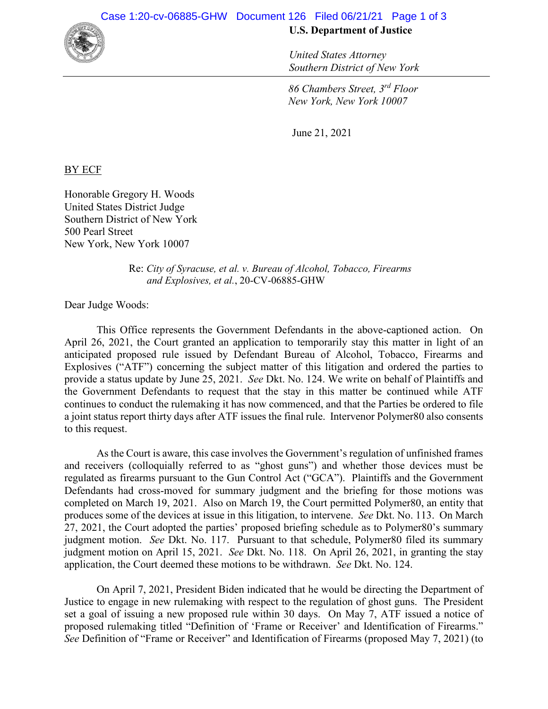

## **U.S. Department of Justice**

*United States Attorney Southern District of New York*

*86 Chambers Street, 3rd Floor New York, New York 10007*

June 21, 2021

BY ECF

Honorable Gregory H. Woods United States District Judge Southern District of New York 500 Pearl Street New York, New York 10007

> Re: *City of Syracuse, et al. v. Bureau of Alcohol, Tobacco, Firearms and Explosives, et al.*, 20-CV-06885-GHW

Dear Judge Woods:

This Office represents the Government Defendants in the above-captioned action. On April 26, 2021, the Court granted an application to temporarily stay this matter in light of an anticipated proposed rule issued by Defendant Bureau of Alcohol, Tobacco, Firearms and Explosives ("ATF") concerning the subject matter of this litigation and ordered the parties to provide a status update by June 25, 2021. *See* Dkt. No. 124. We write on behalf of Plaintiffs and the Government Defendants to request that the stay in this matter be continued while ATF continues to conduct the rulemaking it has now commenced, and that the Parties be ordered to file a joint status report thirty days after ATF issues the final rule. Intervenor Polymer80 also consents to this request.

As the Court is aware, this case involves the Government's regulation of unfinished frames and receivers (colloquially referred to as "ghost guns") and whether those devices must be regulated as firearms pursuant to the Gun Control Act ("GCA"). Plaintiffs and the Government Defendants had cross-moved for summary judgment and the briefing for those motions was completed on March 19, 2021. Also on March 19, the Court permitted Polymer80, an entity that produces some of the devices at issue in this litigation, to intervene. *See* Dkt. No. 113. On March 27, 2021, the Court adopted the parties' proposed briefing schedule as to Polymer80's summary judgment motion. *See* Dkt. No. 117. Pursuant to that schedule, Polymer80 filed its summary judgment motion on April 15, 2021. *See* Dkt. No. 118. On April 26, 2021, in granting the stay application, the Court deemed these motions to be withdrawn. *See* Dkt. No. 124.

On April 7, 2021, President Biden indicated that he would be directing the Department of Justice to engage in new rulemaking with respect to the regulation of ghost guns. The President set a goal of issuing a new proposed rule within 30 days. On May 7, ATF issued a notice of proposed rulemaking titled "Definition of 'Frame or Receiver' and Identification of Firearms." *See* Definition of "Frame or Receiver" and Identification of Firearms (proposed May 7, 2021) (to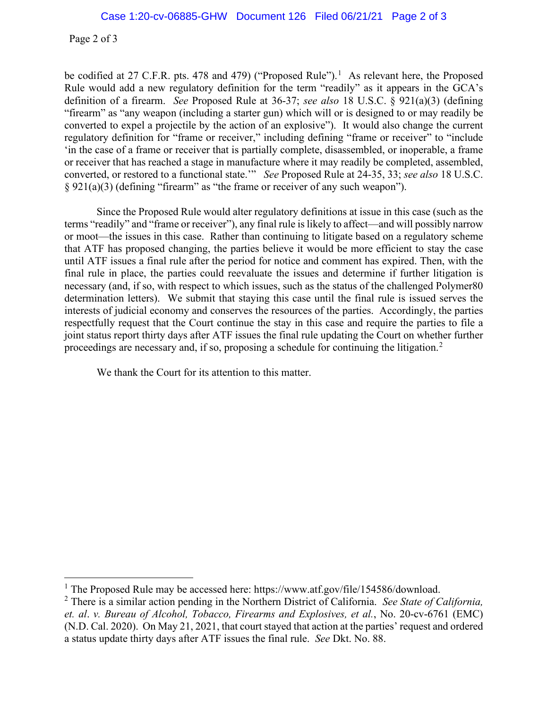Page 2 of 3

be codified at 27 C.F.R. pts. 478 and 479) ("Proposed Rule").<sup>1</sup> As relevant here, the Proposed Rule would add a new regulatory definition for the term "readily" as it appears in the GCA's definition of a firearm. *See* Proposed Rule at 36-37; *see also* 18 U.S.C. § 921(a)(3) (defining "firearm" as "any weapon (including a starter gun) which will or is designed to or may readily be converted to expel a projectile by the action of an explosive"). It would also change the current regulatory definition for "frame or receiver," including defining "frame or receiver" to "include 'in the case of a frame or receiver that is partially complete, disassembled, or inoperable, a frame or receiver that has reached a stage in manufacture where it may readily be completed, assembled, converted, or restored to a functional state.'" *See* Proposed Rule at 24-35, 33; *see also* 18 U.S.C. § 921(a)(3) (defining "firearm" as "the frame or receiver of any such weapon").

Since the Proposed Rule would alter regulatory definitions at issue in this case (such as the terms "readily" and "frame or receiver"), any final rule is likely to affect—and will possibly narrow or moot—the issues in this case. Rather than continuing to litigate based on a regulatory scheme that ATF has proposed changing, the parties believe it would be more efficient to stay the case until ATF issues a final rule after the period for notice and comment has expired. Then, with the final rule in place, the parties could reevaluate the issues and determine if further litigation is necessary (and, if so, with respect to which issues, such as the status of the challenged Polymer80 determination letters). We submit that staying this case until the final rule is issued serves the interests of judicial economy and conserves the resources of the parties. Accordingly, the parties respectfully request that the Court continue the stay in this case and require the parties to file a joint status report thirty days after ATF issues the final rule updating the Court on whether further proceedings are necessary and, if so, proposing a schedule for continuing the litigation.<sup>2</sup>

We thank the Court for its attention to this matter.

<sup>&</sup>lt;sup>1</sup> The Proposed Rule may be accessed here: https://www.atf.gov/file/154586/download.

<sup>2</sup> There is a similar action pending in the Northern District of California. *See State of California, et. al*. *v. Bureau of Alcohol, Tobacco, Firearms and Explosives, et al.*, No. 20-cv-6761 (EMC) (N.D. Cal. 2020). On May 21, 2021, that court stayed that action at the parties' request and ordered a status update thirty days after ATF issues the final rule. *See* Dkt. No. 88.